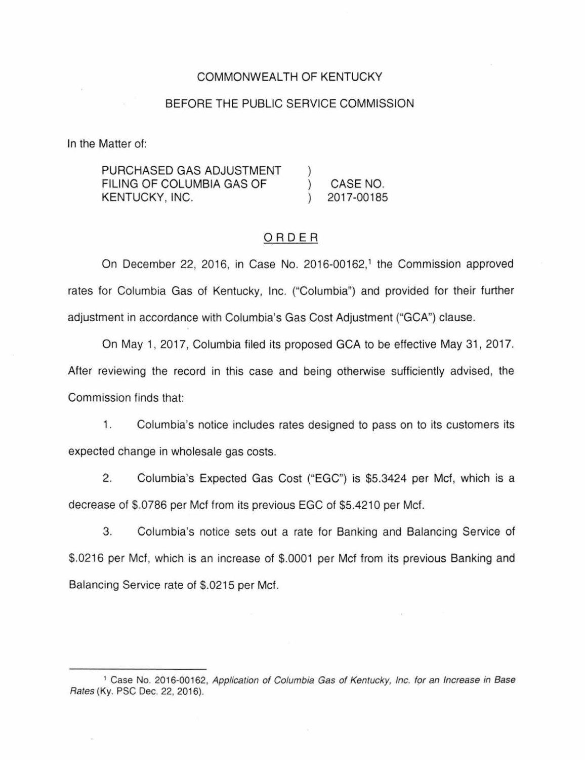### COMMONWEALTH OF KENTUCKY

## BEFORE THE PUBLIC SERVICE COMMISSION

In the Matter of:

PURCHASED GAS ADJUSTMENT FILING OF COLUMBIA GAS OF  $\lambda$ CASE NO. KENTUCKY, INC. 2017-00185

## ORDER

On December 22, 2016, in Case No. 2016-00162,<sup>1</sup> the Commission approved rates for Columbia Gas of Kentucky, Inc. ("Columbia") and provided for their further adjustment in accordance with Columbia's Gas Cost Adjustment ("GCA") clause.

On May 1, 2017, Columbia filed its proposed GCA to be effective May 31 , 2017. After reviewing the record in this case and being otherwise sufficiently advised, the Commission finds that:

1. Columbia's notice includes rates designed to pass on to its customers its expected change in wholesale gas costs.

2. Columbia's Expected Gas Cost ("EGC") is \$5.3424 per Met, which is a decrease of \$.0786 per Met from its previous EGC of \$5.4210 per Met.

3. Columbia's notice sets out a rate for Banking and Balancing Service of \$.0216 per Met, which is an increase of \$.0001 per Met from its previous Banking and Balancing Service rate of \$.0215 per Met.

<sup>&</sup>lt;sup>1</sup> Case No. 2016-00162, Application of Columbia Gas of Kentucky, Inc. for an Increase in Base Rates (Ky. PSC Dec. 22, 2016).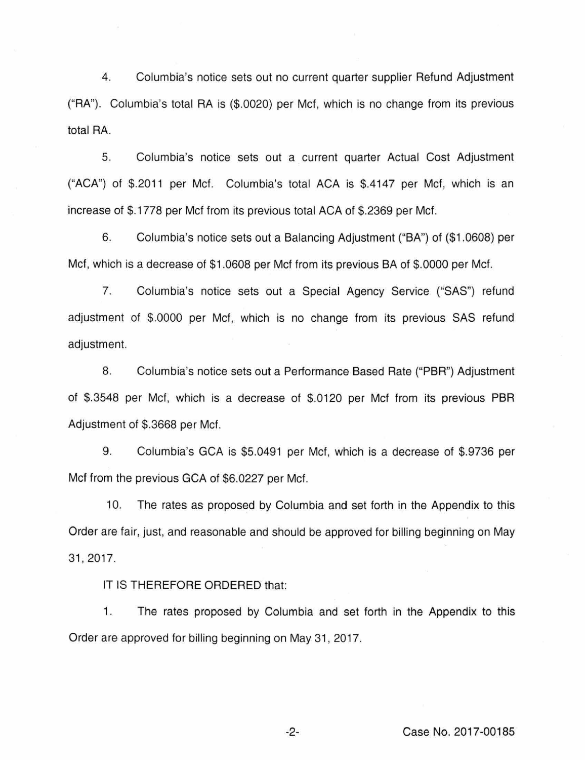4. Columbia's notice sets out no current quarter supplier Refund Adjustment ("RA''). Columbia's total RA is (\$.0020) per Met, which is no change from its previous total RA.

5. Columbia's notice sets out a current quarter Actual Cost Adjustment ("ACA") of \$.2011 per Met. Columbia's total ACA is \$.4147 per Mcf, which is an increase of \$. 1778 per Met from its previous total ACA of \$.2369 per Met.

6. Columbia's notice sets out a Balancing Adjustment ("BA") of (\$1.0608) per Met, which is a decrease of \$1.0608 per Mcf from its previous BA of \$.0000 per Met.

7. Columbia's notice sets out a Special Agency Service ("SAS") refund adjustment of \$.0000 per Met, which is no change from its previous SAS refund adjustment.

8. Columbia's notice sets out a Performance Based Rate ("PBR") Adjustment of \$.3548 per Met, which is a decrease of \$.0120 per Met from its previous PBR Adjustment of \$.3668 per Met.

9. Columbia's GCA is \$5.0491 per Met, which is a decrease of \$.9736 per Met from the previous GCA of \$6.0227 per Met.

10. The rates as proposed by Columbia and set forth in the Appendix to this Order are fair, just, and reasonable and should be approved for billing beginning on May 31, 2017.

IT IS THEREFORE ORDERED that:

1. The rates proposed by Columbia and set forth in the Appendix to this Order are approved for billing beginning on May 31, 2017.

-2- Case No. 2017-00185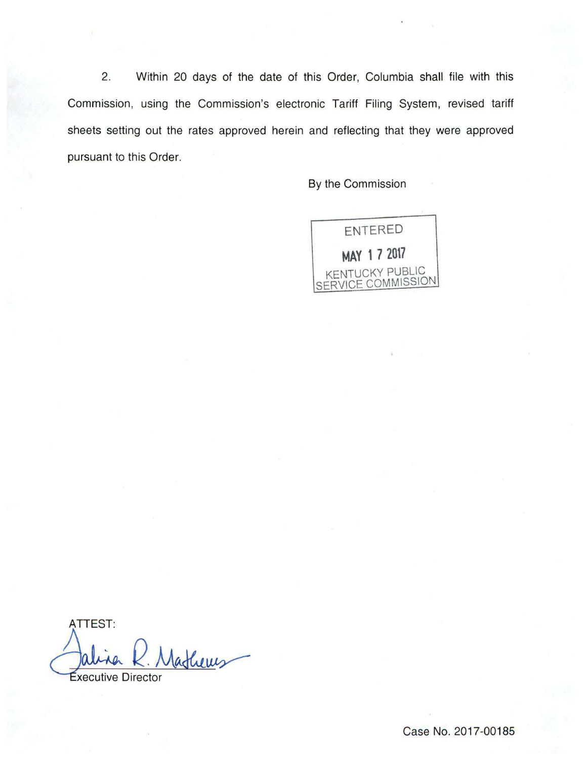2. Within 20 days of the date of this Order, Columbia shall file with this Commission, using the Commission's electronic Tariff Filing System, revised tariff sheets setting out the rates approved herein and reflecting that they were approved pursuant to this Order.

By the Commission



ATTEST: Jalina R. Mathews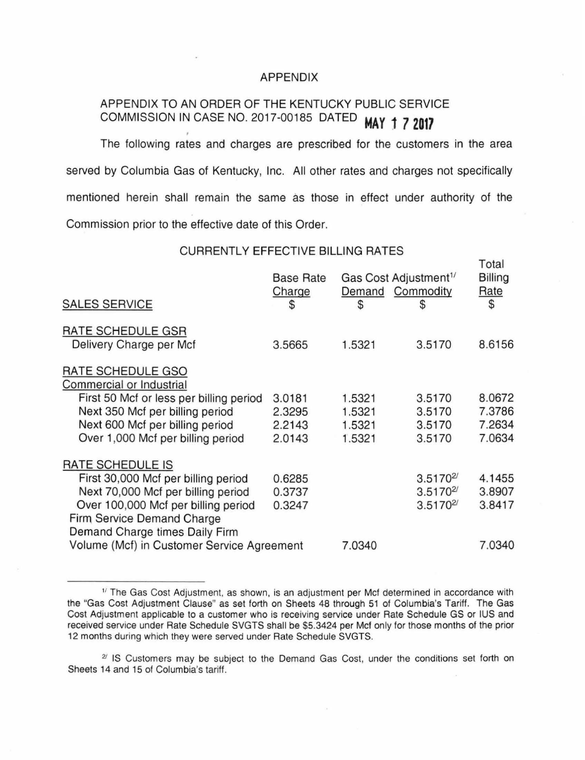#### APPENDIX

# APPENDIX TO AN ORDER OF THE KENTUCKY PUBLIC SERVICE COMMISSION IN CASE NO. 2017-00185 DATED **MAY 1 7 2017** . The following rates and charges are prescribed for the customers in the area

served by Columbia Gas of Kentucky, Inc. All other rates and charges not specifically mentioned herein shall remain the same as those in effect under authority of the Commission prior to the effective date of this Order.

#### CURRENTLY EFFECTIVE BILLING RATES

Total

| <b>SALES SERVICE</b>                                                                                | <b>Base Rate</b><br>Charge<br>\$ | Gas Cost Adjustment <sup>1/</sup><br>Demand Commodity<br>\$ | S              | TUM<br>Billing<br>Rate<br>\$ |
|-----------------------------------------------------------------------------------------------------|----------------------------------|-------------------------------------------------------------|----------------|------------------------------|
| RATE SCHEDULE GSR                                                                                   |                                  |                                                             |                |                              |
| Delivery Charge per Mcf                                                                             | 3.5665                           | 1.5321                                                      | 3.5170         | 8.6156                       |
| RATE SCHEDULE GSO<br>Commercial or Industrial                                                       |                                  |                                                             |                |                              |
| First 50 Mcf or less per billing period                                                             | 3.0181                           | 1.5321                                                      | 3.5170         | 8.0672                       |
| Next 350 Mcf per billing period                                                                     | 2.3295                           | 1.5321                                                      | 3.5170         | 7.3786                       |
| Next 600 Mcf per billing period                                                                     | 2.2143                           | 1.5321                                                      | 3.5170         | 7.2634                       |
| Over 1,000 Mcf per billing period                                                                   | 2.0143                           | 1.5321                                                      | 3.5170         | 7.0634                       |
| RATE SCHEDULE IS                                                                                    |                                  |                                                             |                |                              |
| First 30,000 Mcf per billing period                                                                 | 0.6285                           |                                                             | $3.5170^{27}$  | 4.1455                       |
| Next 70,000 Mcf per billing period                                                                  | 0.3737                           |                                                             | $3.5170^{2/5}$ | 3.8907                       |
| Over 100,000 Mcf per billing period<br>Firm Service Demand Charge<br>Demand Charge times Daily Firm | 0.3247                           |                                                             | $3.5170^{27}$  | 3.8417                       |
| Volume (Mcf) in Customer Service Agreement                                                          |                                  | 7.0340                                                      |                | 7.0340                       |
|                                                                                                     |                                  |                                                             |                |                              |

 $1/$  The Gas Cost Adjustment, as shown, is an adjustment per Mcf determined in accordance with the "Gas Cost Adjustment Clause" as set forth on Sheets 48 through 51 of Columbia's Tariff. The Gas Cost Adjustment applicable to a customer who is receiving service under Rate Schedule GS or IUS and received service under Rate Schedule SVGTS shall be \$5.3424 per Met only for those months of the prior 12 months during which they were served under Rate Schedule SVGTS.

*<sup>21</sup>*IS Customers may be subject to the Demand Gas Cost, under the conditions set forth on Sheets 14 and 15 of Columbia's tariff.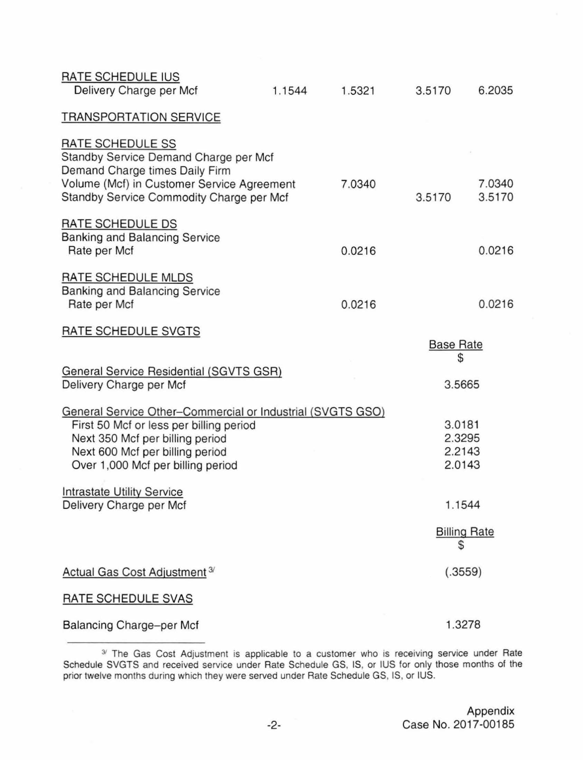| RATE SCHEDULE IUS<br>Delivery Charge per Mcf                                                                                                                                                                     | 1.1544 | 1.5321 | 3.5170                               | 6.2035           |
|------------------------------------------------------------------------------------------------------------------------------------------------------------------------------------------------------------------|--------|--------|--------------------------------------|------------------|
| <b>TRANSPORTATION SERVICE</b>                                                                                                                                                                                    |        |        |                                      |                  |
| RATE SCHEDULE SS<br>Standby Service Demand Charge per Mcf<br>Demand Charge times Daily Firm<br>Volume (Mcf) in Customer Service Agreement<br>Standby Service Commodity Charge per Mcf                            |        | 7.0340 | 3.5170                               | 7.0340<br>3.5170 |
| RATE SCHEDULE DS<br><b>Banking and Balancing Service</b><br>Rate per Mcf                                                                                                                                         |        | 0.0216 |                                      | 0.0216           |
| RATE SCHEDULE MLDS<br><b>Banking and Balancing Service</b><br>Rate per Mcf                                                                                                                                       |        | 0.0216 |                                      | 0.0216           |
| RATE SCHEDULE SVGTS                                                                                                                                                                                              |        |        | <b>Base Rate</b><br>\$               |                  |
| <b>General Service Residential (SGVTS GSR)</b><br>Delivery Charge per Mcf                                                                                                                                        |        |        | 3.5665                               |                  |
| General Service Other-Commercial or Industrial (SVGTS GSO)<br>First 50 Mcf or less per billing period<br>Next 350 Mcf per billing period<br>Next 600 Mcf per billing period<br>Over 1,000 Mcf per billing period |        |        | 3.0181<br>2.3295<br>2.2143<br>2.0143 |                  |
| <b>Intrastate Utility Service</b><br>Delivery Charge per Mcf                                                                                                                                                     |        |        | 1.1544                               |                  |
|                                                                                                                                                                                                                  |        |        | <b>Billing Rate</b><br>S             |                  |
| Actual Gas Cost Adjustment <sup>3/</sup>                                                                                                                                                                         |        |        | (.3559)                              |                  |
| <b>RATE SCHEDULE SVAS</b>                                                                                                                                                                                        |        |        |                                      |                  |
| Balancing Charge-per Mcf                                                                                                                                                                                         |        |        | 1.3278                               |                  |

<sup>&</sup>lt;sup>3/</sup> The Gas Cost Adjustment is applicable to a customer who is receiving service under Rate Schedule SVGTS and received service under Rate Schedule GS, IS, or IUS for only those months of the prior twelve months during which they were served under Rate Schedule GS, IS, or IUS.